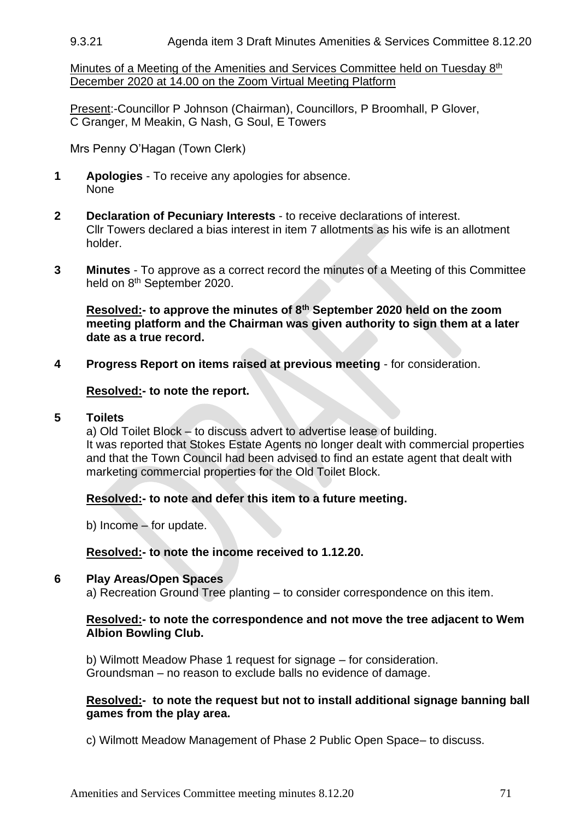### 9.3.21 Agenda item 3 Draft Minutes Amenities & Services Committee 8.12.20

Minutes of a Meeting of the Amenities and Services Committee held on Tuesday 8<sup>th</sup> December 2020 at 14.00 on the Zoom Virtual Meeting Platform

Present:-Councillor P Johnson (Chairman), Councillors, P Broomhall, P Glover, C Granger, M Meakin, G Nash, G Soul, E Towers

Mrs Penny O'Hagan (Town Clerk)

- **1 Apologies** To receive any apologies for absence. None
- **2 Declaration of Pecuniary Interests**  to receive declarations of interest. Cllr Towers declared a bias interest in item 7 allotments as his wife is an allotment holder.
- **3 Minutes** To approve as a correct record the minutes of a Meeting of this Committee held on 8<sup>th</sup> September 2020.

**Resolved:- to approve the minutes of 8th September 2020 held on the zoom meeting platform and the Chairman was given authority to sign them at a later date as a true record.**

**4 Progress Report on items raised at previous meeting** - for consideration.

#### **Resolved:- to note the report.**

#### **5 Toilets**

a) Old Toilet Block – to discuss advert to advertise lease of building. It was reported that Stokes Estate Agents no longer dealt with commercial properties and that the Town Council had been advised to find an estate agent that dealt with marketing commercial properties for the Old Toilet Block.

## **Resolved:- to note and defer this item to a future meeting.**

b) Income – for update.

#### **Resolved:- to note the income received to 1.12.20.**

#### **6 Play Areas/Open Spaces**

a) Recreation Ground Tree planting – to consider correspondence on this item.

#### **Resolved:- to note the correspondence and not move the tree adjacent to Wem Albion Bowling Club.**

b) Wilmott Meadow Phase 1 request for signage – for consideration. Groundsman – no reason to exclude balls no evidence of damage.

## **Resolved:- to note the request but not to install additional signage banning ball games from the play area.**

c) Wilmott Meadow Management of Phase 2 Public Open Space– to discuss.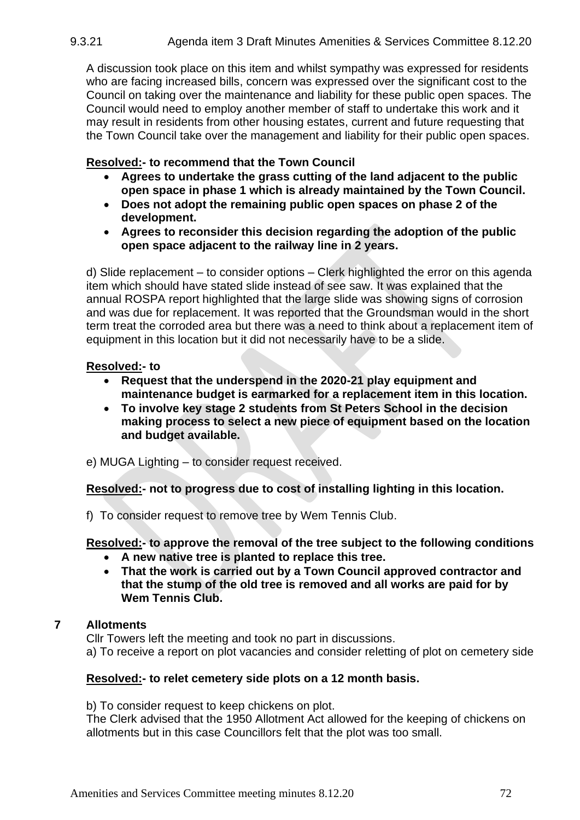9.3.21 Agenda item 3 Draft Minutes Amenities & Services Committee 8.12.20

A discussion took place on this item and whilst sympathy was expressed for residents who are facing increased bills, concern was expressed over the significant cost to the Council on taking over the maintenance and liability for these public open spaces. The Council would need to employ another member of staff to undertake this work and it may result in residents from other housing estates, current and future requesting that the Town Council take over the management and liability for their public open spaces.

# **Resolved:- to recommend that the Town Council**

- **Agrees to undertake the grass cutting of the land adjacent to the public open space in phase 1 which is already maintained by the Town Council.**
- **Does not adopt the remaining public open spaces on phase 2 of the development.**
- **Agrees to reconsider this decision regarding the adoption of the public open space adjacent to the railway line in 2 years.**

d) Slide replacement – to consider options – Clerk highlighted the error on this agenda item which should have stated slide instead of see saw. It was explained that the annual ROSPA report highlighted that the large slide was showing signs of corrosion and was due for replacement. It was reported that the Groundsman would in the short term treat the corroded area but there was a need to think about a replacement item of equipment in this location but it did not necessarily have to be a slide.

## **Resolved:- to**

- **Request that the underspend in the 2020-21 play equipment and maintenance budget is earmarked for a replacement item in this location.**
- **To involve key stage 2 students from St Peters School in the decision making process to select a new piece of equipment based on the location and budget available.**
- e) MUGA Lighting to consider request received.

**Resolved:- not to progress due to cost of installing lighting in this location.**

f) To consider request to remove tree by Wem Tennis Club.

## **Resolved:- to approve the removal of the tree subject to the following conditions**

- **A new native tree is planted to replace this tree.**
- **That the work is carried out by a Town Council approved contractor and that the stump of the old tree is removed and all works are paid for by Wem Tennis Club.**

# **7 Allotments**

Cllr Towers left the meeting and took no part in discussions.

a) To receive a report on plot vacancies and consider reletting of plot on cemetery side

## **Resolved:- to relet cemetery side plots on a 12 month basis.**

b) To consider request to keep chickens on plot.

The Clerk advised that the 1950 Allotment Act allowed for the keeping of chickens on allotments but in this case Councillors felt that the plot was too small.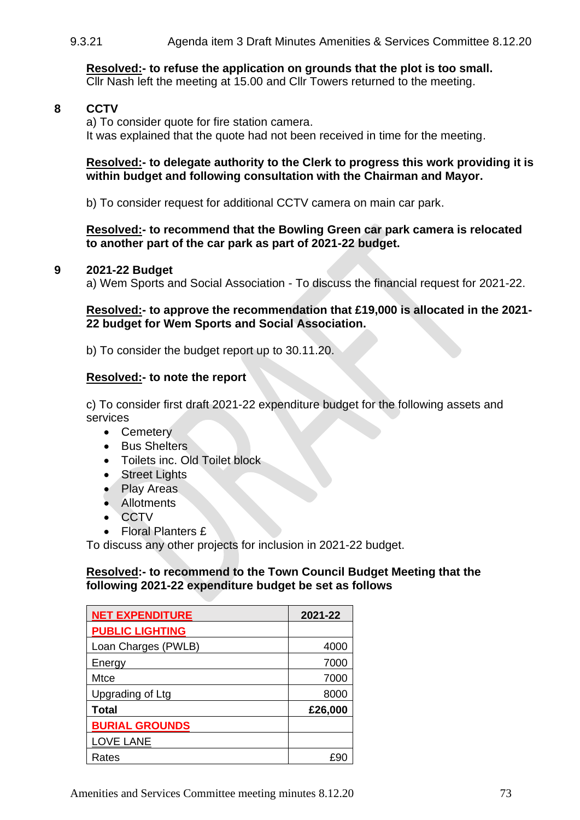9.3.21 Agenda item 3 Draft Minutes Amenities & Services Committee 8.12.20

**Resolved:- to refuse the application on grounds that the plot is too small.** Cllr Nash left the meeting at 15.00 and Cllr Towers returned to the meeting.

# **8 CCTV**

a) To consider quote for fire station camera. It was explained that the quote had not been received in time for the meeting.

#### **Resolved:- to delegate authority to the Clerk to progress this work providing it is within budget and following consultation with the Chairman and Mayor.**

b) To consider request for additional CCTV camera on main car park.

#### **Resolved:- to recommend that the Bowling Green car park camera is relocated to another part of the car park as part of 2021-22 budget.**

#### **9 2021-22 Budget**

a) Wem Sports and Social Association - To discuss the financial request for 2021-22.

## **Resolved:- to approve the recommendation that £19,000 is allocated in the 2021- 22 budget for Wem Sports and Social Association.**

b) To consider the budget report up to 30.11.20.

## **Resolved:- to note the report**

c) To consider first draft 2021-22 expenditure budget for the following assets and services

- Cemetery
- Bus Shelters
- Toilets inc. Old Toilet block
- Street Lights
- Play Areas
- Allotments
- CCTV
- Floral Planters £

To discuss any other projects for inclusion in 2021-22 budget.

## **Resolved:- to recommend to the Town Council Budget Meeting that the following 2021-22 expenditure budget be set as follows**

| <b>NET EXPENDITURE</b> | 2021-22 |
|------------------------|---------|
| <b>PUBLIC LIGHTING</b> |         |
| Loan Charges (PWLB)    | 4000    |
| Energy                 | 7000    |
| Mtce                   | 7000    |
| Upgrading of Ltg       | 8000    |
| <b>Total</b>           | £26,000 |
| <b>BURIAL GROUNDS</b>  |         |
| <b>LOVE LANE</b>       |         |
| Rates                  |         |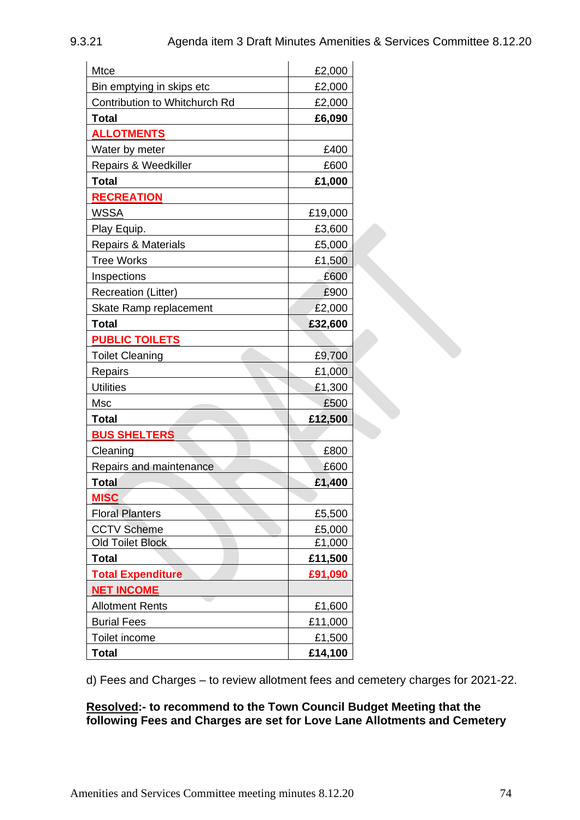| <b>Mtce</b>                    | £2,000  |
|--------------------------------|---------|
| Bin emptying in skips etc      | £2,000  |
| Contribution to Whitchurch Rd  | £2,000  |
| <b>Total</b>                   | £6,090  |
| <b>ALLOTMENTS</b>              |         |
| Water by meter                 | £400    |
| Repairs & Weedkiller           | £600    |
| <b>Total</b>                   | £1,000  |
| <b>RECREATION</b>              |         |
| <b>WSSA</b>                    | £19,000 |
| Play Equip.                    | £3,600  |
| <b>Repairs &amp; Materials</b> | £5,000  |
| <b>Tree Works</b>              | £1,500  |
| Inspections                    | £600    |
| <b>Recreation (Litter)</b>     | £900    |
| Skate Ramp replacement         | £2,000  |
| <b>Total</b>                   | £32,600 |
| <b>PUBLIC TOILETS</b>          |         |
| <b>Toilet Cleaning</b>         | £9,700  |
| Repairs                        | £1,000  |
| <b>Utilities</b>               | £1,300  |
| Msc                            | £500    |
| Total                          | £12,500 |
| <b>BUS SHELTERS</b>            |         |
| Cleaning                       | £800    |
| Repairs and maintenance        | £600    |
| <b>Total</b>                   | £1,400  |
| <b>MISC</b>                    |         |
| <b>Floral Planters</b>         | £5,500  |
| <b>CCTV Scheme</b>             | £5,000  |
| <b>Old Toilet Block</b>        | £1,000  |
| <b>Total</b>                   | £11,500 |
| <b>Total Expenditure</b>       | £91,090 |
| <b>NET INCOME</b>              |         |
| <b>Allotment Rents</b>         | £1,600  |
| <b>Burial Fees</b>             | £11,000 |
| Toilet income                  | £1,500  |
| <b>Total</b>                   | £14,100 |

d) Fees and Charges – to review allotment fees and cemetery charges for 2021-22.

# **Resolved:- to recommend to the Town Council Budget Meeting that the following Fees and Charges are set for Love Lane Allotments and Cemetery**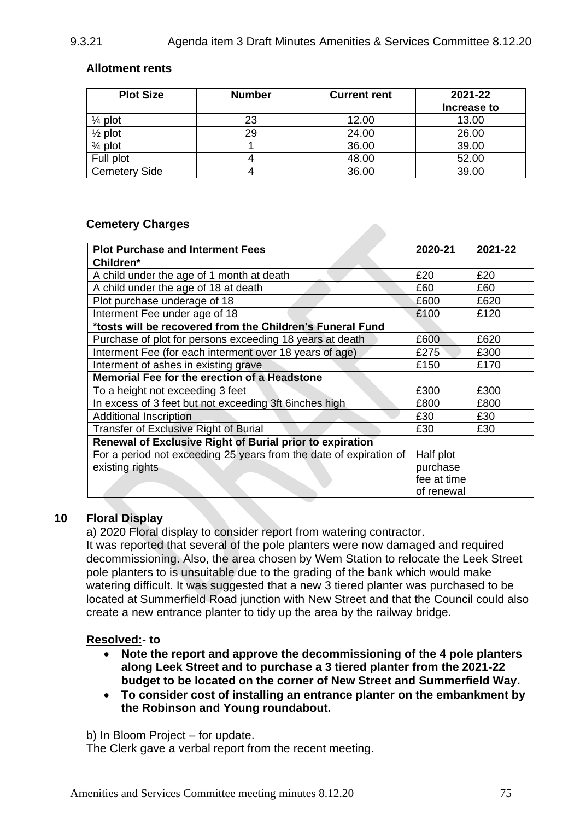# 9.3.21 Agenda item 3 Draft Minutes Amenities & Services Committee 8.12.20

# **Allotment rents**

| <b>Plot Size</b>     | <b>Number</b> | <b>Current rent</b> | 2021-22     |  |
|----------------------|---------------|---------------------|-------------|--|
|                      |               |                     | Increase to |  |
| $\frac{1}{4}$ plot   | 23            | 12.00               | 13.00       |  |
| $\frac{1}{2}$ plot   | 29            | 24.00               | 26.00       |  |
| $\frac{3}{4}$ plot   |               | 36.00               | 39.00       |  |
| Full plot            |               | 48.00               | 52.00       |  |
| <b>Cemetery Side</b> |               | 36.00               | 39.00       |  |

## **Cemetery Charges**

| <b>Plot Purchase and Interment Fees</b>                            | 2020-21     | 2021-22 |
|--------------------------------------------------------------------|-------------|---------|
| Children*                                                          |             |         |
| A child under the age of 1 month at death                          | £20         | £20     |
| A child under the age of 18 at death                               | £60         | £60     |
| Plot purchase underage of 18                                       | £600        | £620    |
| Interment Fee under age of 18                                      | £100        | £120    |
| *tosts will be recovered from the Children's Funeral Fund          |             |         |
| Purchase of plot for persons exceeding 18 years at death           | £600        | £620    |
| Interment Fee (for each interment over 18 years of age)            | £275        | £300    |
| Interment of ashes in existing grave                               | £150        | £170    |
| Memorial Fee for the erection of a Headstone                       |             |         |
| To a height not exceeding 3 feet                                   | £300        | £300    |
| In excess of 3 feet but not exceeding 3ft 6inches high             | £800        | £800    |
| <b>Additional Inscription</b>                                      | £30         | £30     |
| Transfer of Exclusive Right of Burial                              | £30         | £30     |
| Renewal of Exclusive Right of Burial prior to expiration           |             |         |
| For a period not exceeding 25 years from the date of expiration of | Half plot   |         |
| existing rights                                                    | purchase    |         |
|                                                                    | fee at time |         |
|                                                                    | of renewal  |         |

## **10 Floral Display**

a) 2020 Floral display to consider report from watering contractor.

It was reported that several of the pole planters were now damaged and required decommissioning. Also, the area chosen by Wem Station to relocate the Leek Street pole planters to is unsuitable due to the grading of the bank which would make watering difficult. It was suggested that a new 3 tiered planter was purchased to be located at Summerfield Road junction with New Street and that the Council could also create a new entrance planter to tidy up the area by the railway bridge.

## **Resolved:- to**

- **Note the report and approve the decommissioning of the 4 pole planters along Leek Street and to purchase a 3 tiered planter from the 2021-22 budget to be located on the corner of New Street and Summerfield Way.**
- **To consider cost of installing an entrance planter on the embankment by the Robinson and Young roundabout.**

b) In Bloom Project – for update.

The Clerk gave a verbal report from the recent meeting.